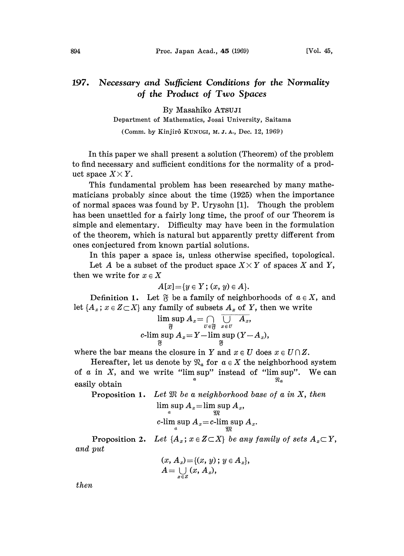## 197. Necessary and Sufficient Conditions for the Normality of the Product of Two Spaces

By Masahiko ATSUJI

Department of Mathematics, Josai University, Saitama

(Comm. by Kinjirô KUNUGI, M. J. A., Dec. 12, 1969)

In this paper we shall present a solution (Theorem) of the problem to find necessary and sufficient conditions for the normality of a product space  $X \times Y$ .

This fundamental problem has been researched by many mathematicians probably since about the time (1925) when the importance of normal spaces was found by P. Urysohn [1]. Though the problem has been unsettled for a fairly long time, the proof of our Theorem is simple and elementary. Difficulty may have been in the formulation of the theorem, which is natural but apparently pretty different from ones conjectured from known partial solutions.

In this paper a space is, unless otherwise specified, topological.

Let A be a subset of the product space  $X \times Y$  of spaces X and Y, then we write for  $x \in X$ 

$$
A[x] = \{y \in Y; (x, y) \in A\}.
$$

Definition 1. Let  $\mathfrak F$  be a family of neighborhoods of  $a \in X$ , and let  $\{A_x; x \in Z \subset X\}$  any family of subsets  $A_x$  of Y, then we write

$$
\limsup_{\substack{\mathfrak{F}\ \mathfrak{F}\ \text{with}\; \mathrm{sup}\;A_x=Y-\limsup_{x\in U}\ (Y-A_x),\\ \mathfrak{F}}\,A_x=Y-\limsup_{\mathfrak{F}}\ (Y-A_x),
$$

where the bar means the closure in Y and  $x \in U$  does  $x \in U \cap Z$ .

Hereafter, let us denote by  $\mathfrak{R}_a$  for  $a \in X$  the neighborhood system of  $\alpha$  in  $X$ , and we write "lim sup" instead of "lim sup". We can easily obtain

**Proposition 1.** Let  $\mathfrak{M}$  be a neighborhood base of a in X, then  $\limsup A_x = \limsup A_x$ ,  $\begin{array}{c} \mathbb{C} & \mathbb{C} \\ \mathbb{C} & \mathbb{C} \end{array}$ 

$$
\limsup_a A_x = c\text{-}\limsup_m A_x
$$

Proposition 2. Let  $\{A_x; x \in Z \subset X\}$  be any family of sets  $A_x \subset Y$ , and put

$$
(x, A_x) = \{(x, y); y \in A_x\},
$$
  

$$
A = \bigcup_{x \in Z} (x, A_x),
$$

then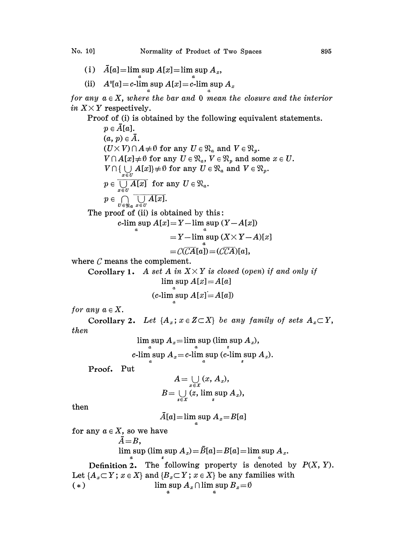- (i)  $\bar{A}[a] = \limsup A[x] = \limsup A_x$ ,
- (ii)  $A^0[a] = c$ -lim sup  $A[x] = c$ -lim sup  $A_x$

for any  $a \in X$ , where the bar and 0 mean the closure and the interior in  $X \times Y$  respectively.

Proof of (i) is obtained by the following equivalent statements.

 $p \in \overline{A}[a].$  $(a, p) \in \overline{A}$ .  $(a, p) \in A. \ (U \times V) \cap A \neq \emptyset \text{ for any } U \in \mathfrak{N}_a \text{ and } V \in \mathfrak{N}_p. \ V \cap A[x] \neq \emptyset \text{ for any } U \in \mathfrak{N}_a, \ V \in \mathfrak{N}_p \text{ and so}$  $V \cap A[x] \neq \emptyset$  for any  $U \in \mathfrak{N}_a$ ,  $V \in \mathfrak{N}_p$  and some  $x \in U$ .  $V \cap \{ \bigcup_{x \in U} A[x] \} \neq \emptyset$  for any  $U \in \mathfrak{N}_a$  and  $V \in \mathfrak{N}_p$ .  $p \in \overline{\bigcup A[x]}$  for any  $U \in \mathfrak{N}_a$ .  $p \in \bigcap_{u \in \mathfrak{M}} \overline{\bigcup_{x \in U} A[x]}$ .

The proof of (ii) is obtained by this:

$$
c\text{-lim sup } A[x] = Y - \limsup (Y - A[x])
$$

$$
= Y - \limsup (X \times Y - A)[x]
$$

$$
=\widehat{\mathcal{C}(CA[a])}=(\widehat{\mathcal{CCA}})[a],
$$

where  $C$  means the complement.

Corollary 1. A set A in  $X \times Y$  is closed (open) if and only if  $\limsup A[x]=A[a]$ 

(c-lim sup 
$$
A[x]=A[a]
$$
)

for any  $a \in X$ .

Corollary 2. Let  $\{A_x; x \in Z \subset X\}$  be any family of sets  $A_x \subset Y$ , then

 $\limsup A_{x}$   $=$   $\limsup$  sup (lim  $\sup A_{x}$ ),

$$
c\text{-lim}\sup A_x\!=\!c\text{-lim}\sup\limits_{x}(c\text{-lim}\sup A_x).
$$

Proof**.** Put

$$
A = \bigcup_{x \in X} (x, A_x),
$$
  

$$
B = \bigcup_{z \in X} (z, \limsup_{z} A_x),
$$

then

$$
\bar{A}[a] = \limsup_{x} A_x = B[a]
$$

for any  $a \in X$ , so we have

$$
A\!=\!B,
$$

$$
\limsup (\limsup A_x) = \overline{B}[a] = B[a] = \limsup A_x.
$$

Definition 2. The following property is denoted by  $P(X, Y)$ . Let  $\{A_x \subset Y : x \in X\}$  and  $\{B_x \subset Y : x \in X\}$  be any families with<br>(\*) lim sup  $A_x \cap \limsup B_x = \emptyset$  $\limsup_a A_x \cap \limsup_a B_x = \emptyset$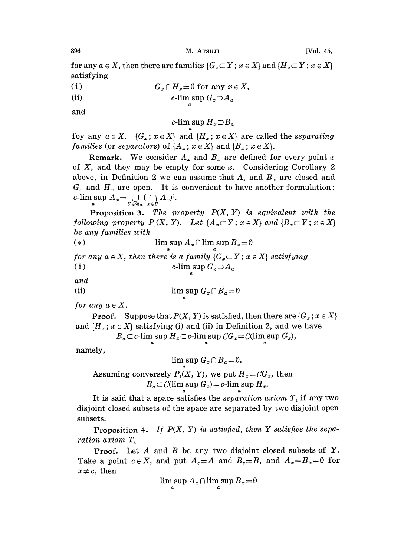for any  $a \in X$ , then there are families  $\{G_x \subset Y : x \in X\}$  and  $\{H_x \subset Y : x \in X\}$ satisfying

- $(i)$  $G_x \cap H_y = \emptyset$  for any  $x \in X$ ,
- $(ii)$ c-lim sup  $G_x \supset A_a$

and

c-lim sup  $H_x \supset B_a$ 

foy any  $a \in X$ .  $\{G_x \colon x \in X\}$  and  $\{H_x \colon x \in X\}$  are called the separating families (or separators) of  $\{A_x; x \in X\}$  and  $\{B_x; x \in X\}$ .

**Remark.** We consider  $A_x$  and  $B_x$  are defined for every point x of  $X$ , and they may be empty for some  $x$ . Considering Corollary 2 above, in Definition 2 we can assume that  $A_x$  and  $B_x$  are closed and  $G_x$  and  $H_x$  are open. It is convenient to have another formulation: c-lim sup  $A_x = \bigcup_{U \in \mathfrak{N}_a} (\bigcap_{x \in U} A_x)^0$ .

**Proposition 3.** The property  $P(X, Y)$  is equivalent with the following property  $P_1(X, Y)$ . Let  $\{A_x \subset Y; x \in X\}$  and  $\{B_x \subset Y; x \in X\}$ be any families with

(\*)  

$$
\limsup_{a} A_x \cap \limsup_{a} B_x = \emptyset
$$

for any  $a \in X$ , then there is a family  $\{G_x \subset Y : x \in X\}$  satisfying<br>(i)  $c$ -lim sup  $G_x \supseteq A_a$ c-lim sup  $G_x \supset A_a$ 

and

(i) 
$$
\limsup_{a} G_x \cap B_a = \emptyset
$$

for any  $a \in X$ .

**Proof.** Suppose that  $P(X, Y)$  is satisfied, then there are  $\{G_x : x \in X\}$ and  $\{H_x; x \in X\}$  satisfying (i) and (ii) in Definition 2, and we have<br>  $B_a \subset c$ -lim sup  $H_x \subset c$ -lim sup  $CG_x = \mathcal{C}(\limsup_a G_x)$ ,

$$
S_a \subset c\text{-}\limsup_a H_x \subset c\text{-}\limsup_a C \cdot G_x = C(\limsup_a G_x)
$$

namely,

 $\limsup G_x \cap B_a = \emptyset.$ 

Assuming conversely  $P_1(X, Y)$ , we put  $H_x = CG_x$ , then  $B_a \subset \mathcal{C}(\limsup_a G_x) = c$ -lim sup  $H_x$ .

It is said that a space satisfies the separation axiom  $T<sub>4</sub>$  if any two disjoint closed subsets of the space are separated by two disjoint open subsets.

Proposition 4. If  $P(X, Y)$  is satisfied, then Y satisfies the separation axiom  $T_A$ 

**Proof.** Let  $A$  and  $B$  be any two disjoint closed subsets of  $Y$ . Take a point  $c \in X$ , and put  $A_c = A$  and  $B_c = B$ , and  $A_x = B_x = \emptyset$  for  $x \neq c$ , then

$$
\limsup_{a} A_{x} \cap \limsup_{a} B_{x} = \emptyset
$$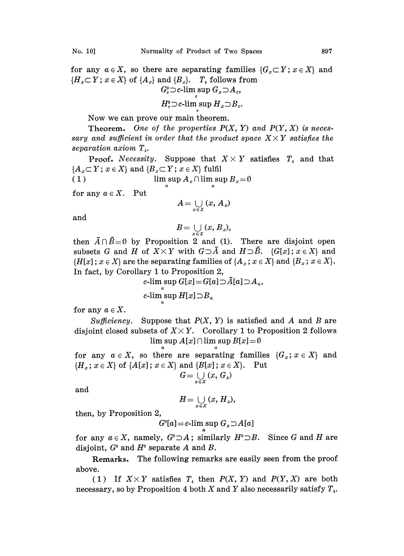for any  $a \in X$ , so there are separating families  $\{G_x \subset Y : x \in X\}$  and  ${H_x \subset Y; x \in X}$  of  ${A_x}$  and  ${B_x}$ .  $T<sub>4</sub>$  follows from  $G_c^0 \supset c$ -lim sup  $G_x \supset A_c$ ,  $G_e^0 \supset c$ -lim sup  $G_x \supset A_c$ ,<br>  $H_e^0 \supset c$ -lim sup  $H_x \supset B_c$ .

$$
H^0_c \supset c\text{-lim sup } H_x \supset B_c.
$$

Now we can prove our main theorem.

**Theorem.** One of the properties  $P(X, Y)$  and  $P(Y, X)$  is necessary and sufficient in order that the product space  $X \times Y$  satisfies the separation axiom  $T_{4}$ .

**Proof.** Necessity. Suppose that  $X \times Y$  satisfies  $T<sub>4</sub>$  and that  ${A_x \subset Y$ ;  $x \in X}$  and  ${B_x \subset Y}$ ;  $x \in X}$  fulfil

(1)  $\limsup_{a} A_{x} \cap \limsup_{a} B_{x} = \emptyset$ 

for any  $a \in X$ . Put

$$
A=\bigcup_{x\in X}\left(x,A_x\right)
$$

and

$$
B=\bigcup_{x\in X}(x,\,B_x),
$$

then  $\bar{A} \cap \bar{B} = \emptyset$  by Proposition 2 and (1). There are disjoint open subsets G and H of  $X \times Y$  with  $G \supset \overline{A}$  and  $H \supset \overline{B}$ .  $\{G[x]; x \in X\}$  and  $\{H[x] \,;\, x \in X\}$  are the separating families of  $\{A_x; x \in X\}$  and  $\{B_x; x \in X\}$ . In fact, by Corollary 1 to Proposition 2,

c-lim sup  $G[x] = G[a] \supset \overline{A}[a] \supset A_a$ , c-lim sup  $H[x] \supset B_a$ 

for any  $a \in X$ .

Sufficiency. Suppose that  $P(X, Y)$  is satisfied and A and B are disjoint closed subsets of  $X \times Y$ . Corollary 1 to Proposition 2 follows  $\limsup A[x] \cap \limsup B[x] = \emptyset$ 

for any  $a \in X$ , so there are separating families  $\{G_x : x \in X\}$  and  ${H_x; x \in X}$  of  ${A[x]; x \in X}$  and  ${B[x]; x \in X}$ . Put  $G=\bigcup_{x\in X}\left(x,\,G_{x}\right)$ 

and

$$
H=\bigcup_{x\in X}(x, H_x),
$$

then, by Proposition 2,

$$
G^0[a] = c\text{-lim sup } G_x \supseteq A[a]
$$

for any  $a \in X$ , namely,  $G^0 \supset A$ ; similarly  $H^0 \supset B$ . Since G and H are disjoint,  $G^{\circ}$  and  $H^{\circ}$  separate A and B.

Remarks. The following remarks are easily seen from the proof above.

(1) If  $X \times Y$  satisfies  $T<sub>4</sub>$  then  $P(X, Y)$  and  $P(Y, X)$  are both necessary, so by Proposition 4 both X and Y also necessarily satisfy  $T_{4}$ .